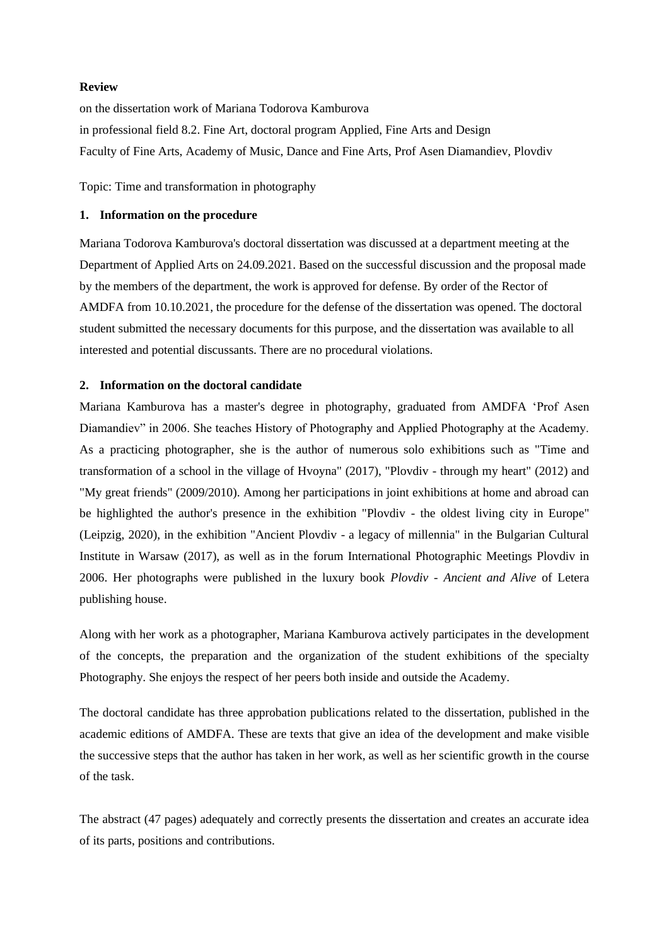#### **Review**

on the dissertation work of Mariana Todorova Kamburova in professional field 8.2. Fine Art, doctoral program Applied, Fine Arts and Design Faculty of Fine Arts, Academy of Music, Dance and Fine Arts, Prof Asen Diamandiev, Plovdiv

Topic: Time and transformation in photography

#### **1. Information on the procedure**

Mariana Todorova Kamburova's doctoral dissertation was discussed at a department meeting at the Department of Applied Arts on 24.09.2021. Based on the successful discussion and the proposal made by the members of the department, the work is approved for defense. By order of the Rector of AMDFA from 10.10.2021, the procedure for the defense of the dissertation was opened. The doctoral student submitted the necessary documents for this purpose, and the dissertation was available to all interested and potential discussants. There are no procedural violations.

## **2. Information on the doctoral candidate**

Mariana Kamburova has a master's degree in photography, graduated from AMDFA 'Prof Asen Diamandiev" in 2006. She teaches History of Photography and Applied Photography at the Academy. As a practicing photographer, she is the author of numerous solo exhibitions such as "Time and transformation of a school in the village of Hvoyna" (2017), "Plovdiv - through my heart" (2012) and "My great friends" (2009/2010). Among her participations in joint exhibitions at home and abroad can be highlighted the author's presence in the exhibition "Plovdiv - the oldest living city in Europe" (Leipzig, 2020), in the exhibition "Ancient Plovdiv - a legacy of millennia" in the Bulgarian Cultural Institute in Warsaw (2017), as well as in the forum International Photographic Meetings Plovdiv in 2006. Her photographs were published in the luxury book *Plovdiv - Ancient and Alive* of Letera publishing house.

Along with her work as a photographer, Mariana Kamburova actively participates in the development of the concepts, the preparation and the organization of the student exhibitions of the specialty Photography. She enjoys the respect of her peers both inside and outside the Academy.

The doctoral candidate has three approbation publications related to the dissertation, published in the academic editions of AMDFA. These are texts that give an idea of the development and make visible the successive steps that the author has taken in her work, as well as her scientific growth in the course of the task.

The abstract (47 pages) adequately and correctly presents the dissertation and creates an accurate idea of its parts, positions and contributions.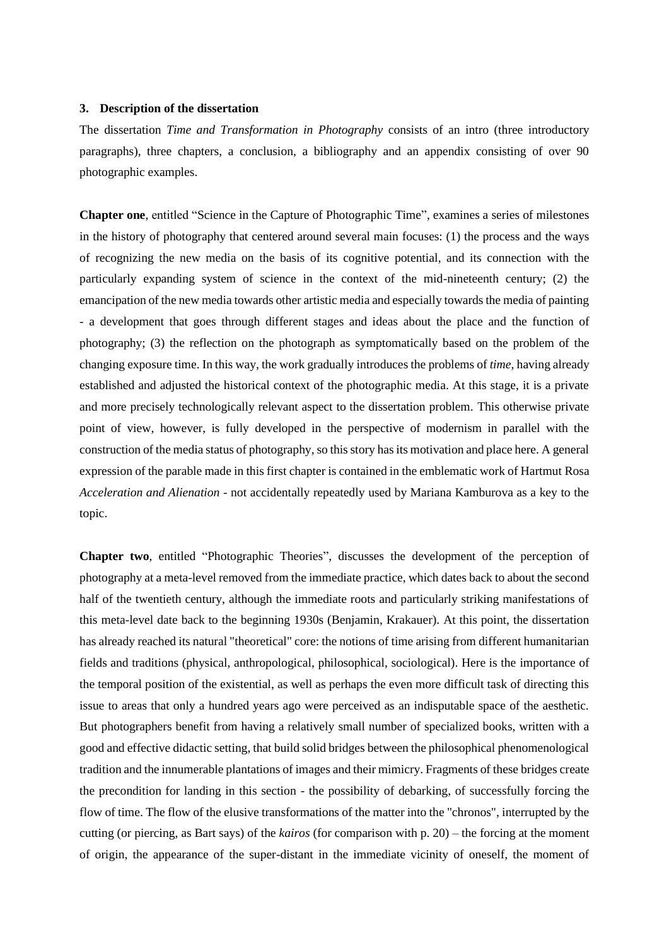## **3. Description of the dissertation**

The dissertation *Time and Transformation in Photography* consists of an intro (three introductory paragraphs), three chapters, a conclusion, a bibliography and an appendix consisting of over 90 photographic examples.

**Chapter one**, entitled "Science in the Capture of Photographic Time", examines a series of milestones in the history of photography that centered around several main focuses: (1) the process and the ways of recognizing the new media on the basis of its cognitive potential, and its connection with the particularly expanding system of science in the context of the mid-nineteenth century; (2) the emancipation of the new media towards other artistic media and especially towards the media of painting - a development that goes through different stages and ideas about the place and the function of photography; (3) the reflection on the photograph as symptomatically based on the problem of the changing exposure time. In this way, the work gradually introduces the problems of *time*, having already established and adjusted the historical context of the photographic media. At this stage, it is a private and more precisely technologically relevant aspect to the dissertation problem. This otherwise private point of view, however, is fully developed in the perspective of modernism in parallel with the construction of the media status of photography, so this story has its motivation and place here. A general expression of the parable made in this first chapter is contained in the emblematic work of Hartmut Rosa *Acceleration and Alienation* - not accidentally repeatedly used by Mariana Kamburova as a key to the topic.

**Chapter two**, entitled "Photographic Theories", discusses the development of the perception of photography at a meta-level removed from the immediate practice, which dates back to about the second half of the twentieth century, although the immediate roots and particularly striking manifestations of this meta-level date back to the beginning 1930s (Benjamin, Krakauer). At this point, the dissertation has already reached its natural "theoretical" core: the notions of time arising from different humanitarian fields and traditions (physical, anthropological, philosophical, sociological). Here is the importance of the temporal position of the existential, as well as perhaps the even more difficult task of directing this issue to areas that only a hundred years ago were perceived as an indisputable space of the aesthetic. But photographers benefit from having a relatively small number of specialized books, written with a good and effective didactic setting, that build solid bridges between the philosophical phenomenological tradition and the innumerable plantations of images and their mimicry. Fragments of these bridges create the precondition for landing in this section - the possibility of debarking, of successfully forcing the flow of time. The flow of the elusive transformations of the matter into the "chronos", interrupted by the cutting (or piercing, as Bart says) of the *kairos* (for comparison with p. 20) – the forcing at the moment of origin, the appearance of the super-distant in the immediate vicinity of oneself, the moment of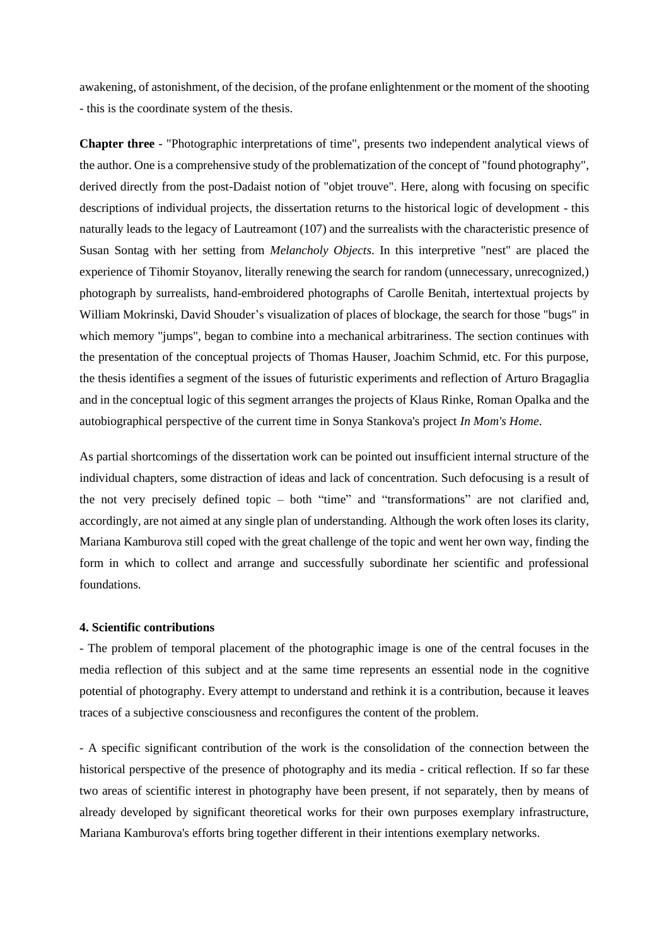awakening, of astonishment, of the decision, of the profane enlightenment or the moment of the shooting - this is the coordinate system of the thesis.

**Chapter three** - "Photographic interpretations of time", presents two independent analytical views of the author. One is a comprehensive study of the problematization of the concept of "found photography", derived directly from the post-Dadaist notion of "objet trouve". Here, along with focusing on specific descriptions of individual projects, the dissertation returns to the historical logic of development - this naturally leads to the legacy of Lautreamont (107) and the surrealists with the characteristic presence of Susan Sontag with her setting from *Melancholy Objects*. In this interpretive "nest" are placed the experience of Tihomir Stoyanov, literally renewing the search for random (unnecessary, unrecognized,) photograph by surrealists, hand-embroidered photographs of Carolle Benitah, intertextual projects by William Mokrinski, David Shouder's visualization of places of blockage, the search for those "bugs" in which memory "jumps", began to combine into a mechanical arbitrariness. The section continues with the presentation of the conceptual projects of Thomas Hauser, Joachim Schmid, etc. For this purpose, the thesis identifies a segment of the issues of futuristic experiments and reflection of Arturo Bragaglia and in the conceptual logic of this segment arranges the projects of Klaus Rinke, Roman Opalka and the autobiographical perspective of the current time in Sonya Stankova's project *In Mom's Home*.

As partial shortcomings of the dissertation work can be pointed out insufficient internal structure of the individual chapters, some distraction of ideas and lack of concentration. Such defocusing is a result of the not very precisely defined topic – both "time" and "transformations" are not clarified and, accordingly, are not aimed at any single plan of understanding. Although the work often loses its clarity, Mariana Kamburova still coped with the great challenge of the topic and went her own way, finding the form in which to collect and arrange and successfully subordinate her scientific and professional foundations.

#### **4. Scientific contributions**

- The problem of temporal placement of the photographic image is one of the central focuses in the media reflection of this subject and at the same time represents an essential node in the cognitive potential of photography. Every attempt to understand and rethink it is a contribution, because it leaves traces of a subjective consciousness and reconfigures the content of the problem.

- A specific significant contribution of the work is the consolidation of the connection between the historical perspective of the presence of photography and its media - critical reflection. If so far these two areas of scientific interest in photography have been present, if not separately, then by means of already developed by significant theoretical works for their own purposes exemplary infrastructure, Mariana Kamburova's efforts bring together different in their intentions exemplary networks.